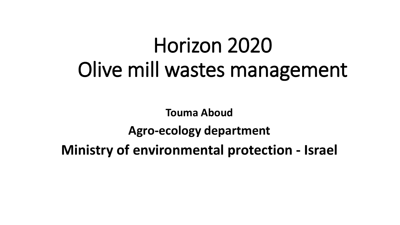# Horizon 2020 Olive mill wastes management

**Touma Aboud Agro-ecology department Ministry of environmental protection - Israel**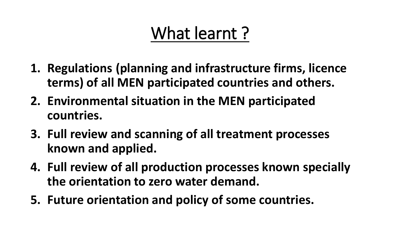# What learnt?

- **1. Regulations (planning and infrastructure firms, licence terms) of all MEN participated countries and others.**
- **2. Environmental situation in the MEN participated countries.**
- **3. Full review and scanning of all treatment processes known and applied.**
- **4. Full review of all production processes known specially the orientation to zero water demand.**
- **5. Future orientation and policy of some countries.**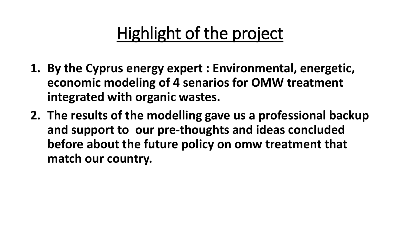# Highlight of the project

- **1. By the Cyprus energy expert : Environmental, energetic, economic modeling of 4 senarios for OMW treatment integrated with organic wastes.**
- **2. The results of the modelling gave us a professional backup and support to our pre-thoughts and ideas concluded before about the future policy on omw treatment that match our country.**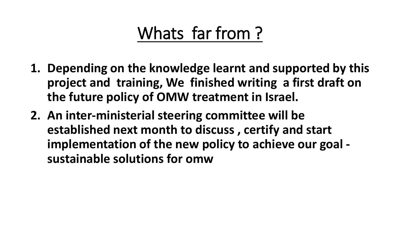# Whats far from ?

- **1. Depending on the knowledge learnt and supported by this project and training, We finished writing a first draft on the future policy of OMW treatment in Israel.**
- **2. An inter-ministerial steering committee will be established next month to discuss , certify and start implementation of the new policy to achieve our goal sustainable solutions for omw**